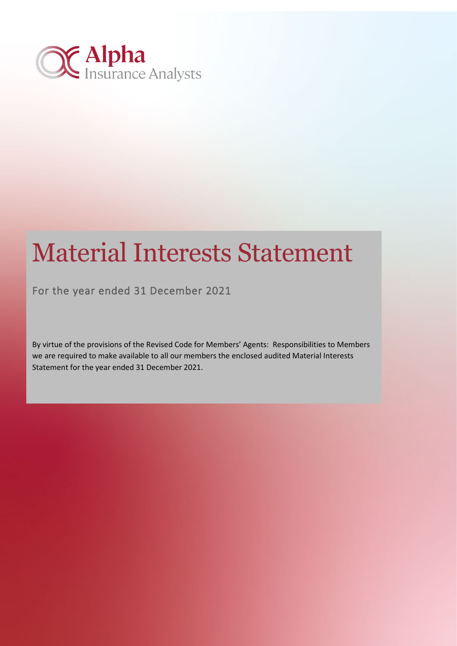

# Material Interests Statement

For the year ended 31 December 2021

By virtue of the provisions of the Revised Code for Members' Agents: Responsibilities to Members we are required to make available to all our members the enclosed audited Material Interests Statement for the year ended 31 December 2021.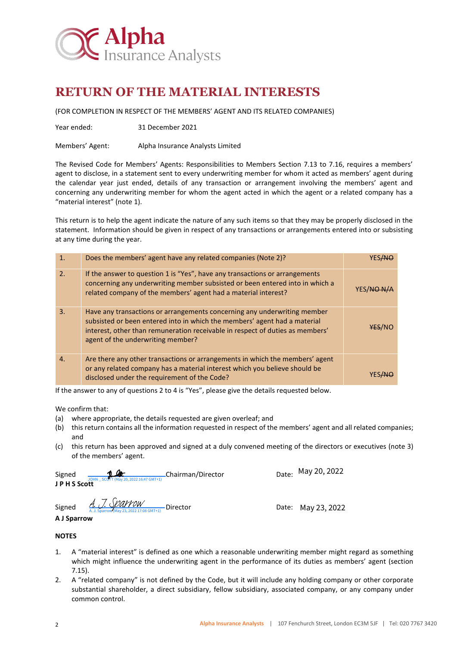

## **RETURN OF THE MATERIAL INTERESTS**

(FOR COMPLETION IN RESPECT OF THE MEMBERS' AGENT AND ITS RELATED COMPANIES)

Year ended: 31 December 2021

Members' Agent: Alpha Insurance Analysts Limited

The Revised Code for Members' Agents: Responsibilities to Members Section 7.13 to 7.16, requires a members' agent to disclose, in a statement sent to every underwriting member for whom it acted as members' agent during the calendar year just ended, details of any transaction or arrangement involving the members' agent and concerning any underwriting member for whom the agent acted in which the agent or a related company has a "material interest" (note 1).

This return is to help the agent indicate the nature of any such items so that they may be properly disclosed in the statement. Information should be given in respect of any transactions or arrangements entered into or subsisting at any time during the year.

| $\mathbf{1}$ .   | Does the members' agent have any related companies (Note 2)?                                                                                                                                                                                                                |        |
|------------------|-----------------------------------------------------------------------------------------------------------------------------------------------------------------------------------------------------------------------------------------------------------------------------|--------|
| $\overline{2}$ . | If the answer to question 1 is "Yes", have any transactions or arrangements<br>concerning any underwriting member subsisted or been entered into in which a<br>related company of the members' agent had a material interest?                                               | YES/NO |
| $\overline{3}$ . | Have any transactions or arrangements concerning any underwriting member<br>subsisted or been entered into in which the members' agent had a material<br>interest, other than remuneration receivable in respect of duties as members'<br>agent of the underwriting member? | YES/NO |
| $\mathbf{A}$     | Are there any other transactions or arrangements in which the members' agent<br>or any related company has a material interest which you believe should be<br>disclosed under the requirement of the Code?                                                                  |        |

If the answer to any of questions 2 to 4 is "Yes", please give the details requested below.

We confirm that:

- (a) where appropriate, the details requested are given overleaf; and
- (b) this return contains all the information requested in respect of the members' agent and all related companies; and
- (c) this return has been approved and signed at a duly convened meeting of the directors or executives (note 3) of the members' agent.

| Signed     | 11 Clar<br>JOHN SCOTT (May 20, 2022 16:47 GMT+1) | -Chairman/Director | Date: |
|------------|--------------------------------------------------|--------------------|-------|
| JPHS Scott |                                                  |                    |       |

Date: May 20, 2022

Signed <u>A. J. Soar Wew</u><br>Signed A.J. Sparrow (May 23, 2022 17:08 GMT+1) Director **Date: May 23, 2022** 

**A J Sparrow** 

#### **NOTES**

- 1. A "material interest" is defined as one which a reasonable underwriting member might regard as something which might influence the underwriting agent in the performance of its duties as members' agent (section 7.15).
- 2. A "related company" is not defined by the Code, but it will include any holding company or other corporate substantial shareholder, a direct subsidiary, fellow subsidiary, associated company, or any company under common control.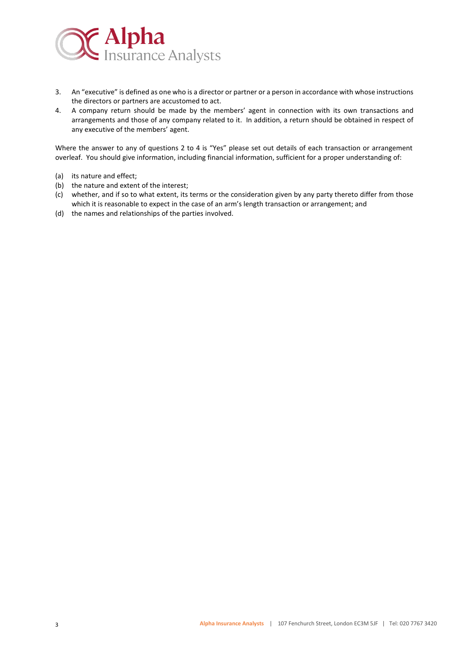

- 3. An "executive" is defined as one who is a director or partner or a person in accordance with whose instructions the directors or partners are accustomed to act.
- 4. A company return should be made by the members' agent in connection with its own transactions and arrangements and those of any company related to it. In addition, a return should be obtained in respect of any executive of the members' agent.

Where the answer to any of questions 2 to 4 is "Yes" please set out details of each transaction or arrangement overleaf. You should give information, including financial information, sufficient for a proper understanding of:

- (a) its nature and effect;
- (b) the nature and extent of the interest;
- (c) whether, and if so to what extent, its terms or the consideration given by any party thereto differ from those which it is reasonable to expect in the case of an arm's length transaction or arrangement; and
- (d) the names and relationships of the parties involved.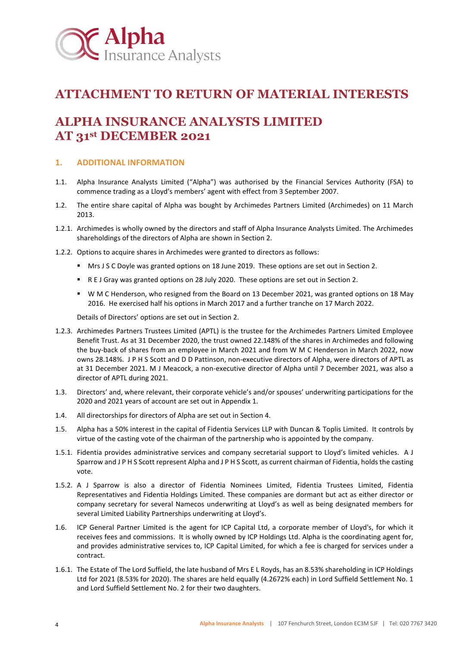<span id="page-3-1"></span>

## **ATTACHMENT TO RETURN OF MATERIAL INTERESTS**

## **ALPHA INSURANCE ANALYSTS LIMITED AT 31st DECEMBER 2021**

#### **1. ADDITIONAL INFORMATION**

- 1.1. Alpha Insurance Analysts Limited ("Alpha") was authorised by the Financial Services Authority (FSA) to commence trading as a Lloyd's members' agent with effect from 3 September 2007.
- <span id="page-3-0"></span>1.2. The entire share capital of Alpha was bought by Archimedes Partners Limited (Archimedes) on 11 March 2013.
- 1.2.1. Archimedes is wholly owned by the directors and staff of Alpha Insurance Analysts Limited. The Archimedes shareholdings of the directors of Alpha are shown in Section 2.
- 1.2.2. Options to acquire shares in Archimedes were granted to directors as follows:
	- Mrs J S C Doyle was granted options on 18 June 2019. These options are set out in Section 2.
	- R E J Gray was granted options on 28 July 2020. These options are set out in Section 2.
	- W M C Henderson, who resigned from the Board on 13 December 2021, was granted options on 18 May 2016. He exercised half his options in March 2017 and a further tranche on 17 March 2022.

Details of Directors' options are set out in Section 2.

- 1.2.3. Archimedes Partners Trustees Limited (APTL) is the trustee for the Archimedes Partners Limited Employee Benefit Trust. As at 31 December 2020, the trust owned 22.148% of the shares in Archimedes and following the buy-back of shares from an employee in March 2021 and from W M C Henderson in March 2022, now owns 28.148%. J P H S Scott and D D Pattinson, non-executive directors of Alpha, were directors of APTL as at 31 December 2021. M J Meacock, a non-executive director of Alpha until 7 December 2021, was also a director of APTL during 2021.
- 1.3. Directors' and, where relevant, their corporate vehicle's and/or spouses' underwriting participations for the 2020 and 2021 years of account are set out in Appendix 1.
- 1.4. All directorships for directors of Alpha are set out in Section 4.
- 1.5. Alpha has a 50% interest in the capital of Fidentia Services LLP with Duncan & Toplis Limited. It controls by virtue of the casting vote of the chairman of the partnership who is appointed by the company.
- 1.5.1. Fidentia provides administrative services and company secretarial support to Lloyd's limited vehicles. A J Sparrow and J P H S Scott represent Alpha and J P H S Scott, as current chairman of Fidentia, holds the casting vote.
- 1.5.2. A J Sparrow is also a director of Fidentia Nominees Limited, Fidentia Trustees Limited, Fidentia Representatives and Fidentia Holdings Limited. These companies are dormant but act as either director or company secretary for several Namecos underwriting at Lloyd's as well as being designated members for several Limited Liability Partnerships underwriting at Lloyd's.
- 1.6. ICP General Partner Limited is the agent for ICP Capital Ltd, a corporate member of Lloyd's, for which it receives fees and commissions. It is wholly owned by ICP Holdings Ltd. Alpha is the coordinating agent for, and provides administrative services to, ICP Capital Limited, for which a fee is charged for services under a contract.
- 1.6.1. The Estate of The Lord Suffield, the late husband of Mrs E L Royds, has an 8.53% shareholding in ICP Holdings Ltd for 2021 (8.53% for 2020). The shares are held equally (4.2672% each) in Lord Suffield Settlement No. 1 and Lord Suffield Settlement No. 2 for their two daughters.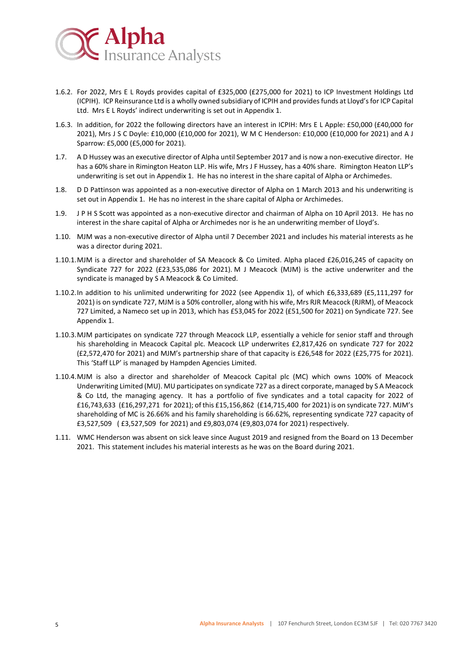<span id="page-4-3"></span>

- <span id="page-4-0"></span>1.6.2. For 2022, Mrs E L Royds provides capital of £325,000 (£275,000 for 2021) to ICP Investment Holdings Ltd (ICPIH). ICP Reinsurance Ltd is a wholly owned subsidiary of ICPIH and provides funds at Lloyd's for ICP Capital Ltd. Mrs E L Royds' indirect underwriting is set out in Appendix 1.
- 1.6.3. In addition, for 2022 the following directors have an interest in ICPIH: Mrs E L Apple: £50,000 (£40,000 for 2021), Mrs J S C Doyle: £10,000 (£10,000 for 2021), W M C Henderson: £10,000 (£10,000 for 2021) and A J Sparrow: £5,000 (£5,000 for 2021).
- <span id="page-4-2"></span>1.7. A D Hussey was an executive director of Alpha until September 2017 and is now a non-executive director. He has a 60% share in Rimington Heaton LLP. His wife, Mrs J F Hussey, has a 40% share. Rimington Heaton LLP's underwriting is set out in Appendix 1. He has no interest in the share capital of Alpha or Archimedes.
- 1.8. D D Pattinson was appointed as a non-executive director of Alpha on 1 March 2013 and his underwriting is set out in Appendix 1. He has no interest in the share capital of Alpha or Archimedes.
- 1.9. J P H S Scott was appointed as a non-executive director and chairman of Alpha on 10 April 2013. He has no interest in the share capital of Alpha or Archimedes nor is he an underwriting member of Lloyd's.
- 1.10. MJM was a non-executive director of Alpha until 7 December 2021 and includes his material interests as he was a director during 2021.
- 1.10.1.MJM is a director and shareholder of SA Meacock & Co Limited. Alpha placed £26,016,245 of capacity on Syndicate 727 for 2022 (£23,535,086 for 2021). M J Meacock (MJM) is the active underwriter and the syndicate is managed by S A Meacock & Co Limited.
- <span id="page-4-1"></span>1.10.2.In addition to his unlimited underwriting for 2022 (see Appendix 1), of which £6,333,689 (£5,111,297 for 2021) is on syndicate 727, MJM is a 50% controller, along with his wife, Mrs RJR Meacock (RJRM), of Meacock 727 Limited, a Nameco set up in 2013, which has £53,045 for 2022 (£51,500 for 2021) on Syndicate 727. See Appendix 1.
- 1.10.3.MJM participates on syndicate 727 through Meacock LLP, essentially a vehicle for senior staff and through his shareholding in Meacock Capital plc. Meacock LLP underwrites £2,817,426 on syndicate 727 for 2022 (£2,572,470 for 2021) and MJM's partnership share of that capacity is £26,548 for 2022 (£25,775 for 2021). This 'Staff LLP' is managed by Hampden Agencies Limited.
- 1.10.4.MJM is also a director and shareholder of Meacock Capital plc (MC) which owns 100% of Meacock Underwriting Limited (MU). MU participates on syndicate 727 as a direct corporate, managed by S A Meacock & Co Ltd, the managing agency. It has a portfolio of five syndicates and a total capacity for 2022 of £16,743,633 (£16,297,271 for 2021); of this £15,156,862 (£14,715,400 for 2021) is on syndicate 727. MJM's shareholding of MC is 26.66% and his family shareholding is 66.62%, representing syndicate 727 capacity of £3,527,509 ( £3,527,509 for 2021) and £9,803,074 (£9,803,074 for 2021) respectively.
- 1.11. WMC Henderson was absent on sick leave since August 2019 and resigned from the Board on 13 December 2021. This statement includes his material interests as he was on the Board during 2021.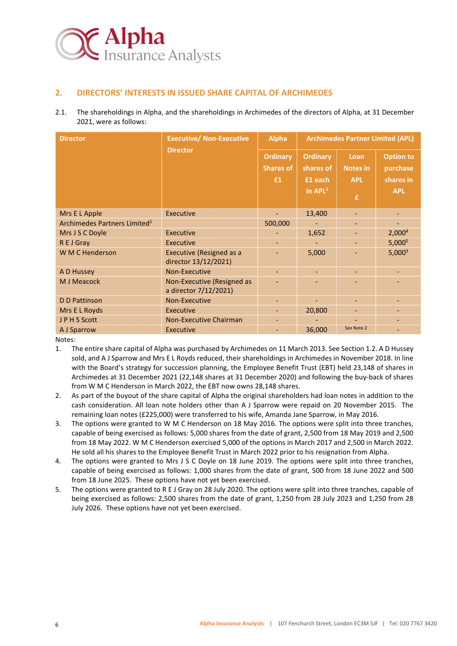

#### **2. DIRECTORS' INTERESTS IN ISSUED SHARE CAPITAL OF ARCHIMEDES**

2.1. The shareholdings in Alpha, and the shareholdings in Archimedes of the directors of Alpha, at 31 December 2021, were as follows:

| <b>Director</b>                          | <b>Executive/ Non-Executive</b>                         | <b>Alpha</b>                        | <b>Archimedes Partner Limited (APL)</b> |                         |                              |  |  |
|------------------------------------------|---------------------------------------------------------|-------------------------------------|-----------------------------------------|-------------------------|------------------------------|--|--|
|                                          | <b>Director</b>                                         | <b>Ordinary</b><br><b>Shares of</b> | <b>Ordinary</b><br>shares of            | Loan<br><b>Notes in</b> | <b>Option to</b><br>purchase |  |  |
|                                          |                                                         | £1                                  | £1 each                                 | <b>APL</b>              | shares in                    |  |  |
|                                          |                                                         |                                     | in $APL1$                               | £,                      | <b>APL</b>                   |  |  |
| Mrs E L Apple                            | Executive                                               |                                     | 13,400                                  |                         | $\qquad \qquad \blacksquare$ |  |  |
| Archimedes Partners Limited <sup>1</sup> |                                                         | 500,000                             |                                         |                         |                              |  |  |
| Mrs J S C Doyle                          | Executive                                               |                                     | 1,652                                   |                         | 2,000 <sup>4</sup>           |  |  |
| R E J Gray                               | Executive                                               |                                     |                                         |                         | 5,000 <sup>5</sup>           |  |  |
| W M C Henderson                          | <b>Executive (Resigned as a</b><br>director 13/12/2021) |                                     | 5,000                                   |                         | $5,000^3$                    |  |  |
| A D Hussey                               | Non-Executive                                           |                                     |                                         |                         |                              |  |  |
| M J Meacock                              | Non-Executive (Resigned as<br>a director 7/12/2021)     |                                     |                                         |                         |                              |  |  |
| <b>D</b> D Pattinson                     | Non-Executive                                           |                                     |                                         |                         |                              |  |  |
| Mrs E L Royds                            | Executive                                               |                                     | 20,800                                  |                         |                              |  |  |
| JPHS Scott                               | <b>Non-Executive Chairman</b>                           |                                     |                                         |                         |                              |  |  |
| A J Sparrow                              | Executive                                               |                                     | 36,000                                  | See Note 2              |                              |  |  |

Notes:

- 1. The entire share capital of Alpha was purchased by Archimedes on 11 March 2013. See Sectio[n 1.2.](#page-3-0) A D Hussey sold, and A J Sparrow and Mrs E L Royds reduced, their shareholdings in Archimedes in November 2018. In line with the Board's strategy for succession planning, the Employee Benefit Trust (EBT) held 23,148 of shares in Archimedes at 31 December 2021 (22,148 shares at 31 December 2020) and following the buy-back of shares from W M C Henderson in March 2022, the EBT now owns 28,148 shares.
- 2. As part of the buyout of the share capital of Alpha the original shareholders had loan notes in addition to the cash consideration. All loan note holders other than A J Sparrow were repaid on 20 November 2015. The remaining loan notes (£225,000) were transferred to his wife, Amanda Jane Sparrow, in May 2016.
- 3. The options were granted to W M C Henderson on 18 May 2016. The options were split into three tranches, capable of being exercised as follows: 5,000 shares from the date of grant, 2,500 from 18 May 2019 and 2,500 from 18 May 2022. W M C Henderson exercised 5,000 of the options in March 2017 and 2,500 in March 2022. He sold all his shares to the Employee Benefit Trust in March 2022 prior to his resignation from Alpha.
- 4. The options were granted to Mrs J S C Doyle on 18 June 2019. The options were split into three tranches, capable of being exercised as follows: 1,000 shares from the date of grant, 500 from 18 June 2022 and 500 from 18 June 2025. These options have not yet been exercised.
- 5. The options were granted to R E J Gray on 28 July 2020. The options were split into three tranches, capable of being exercised as follows: 2,500 shares from the date of grant, 1,250 from 28 July 2023 and 1,250 from 28 July 2026. These options have not yet been exercised.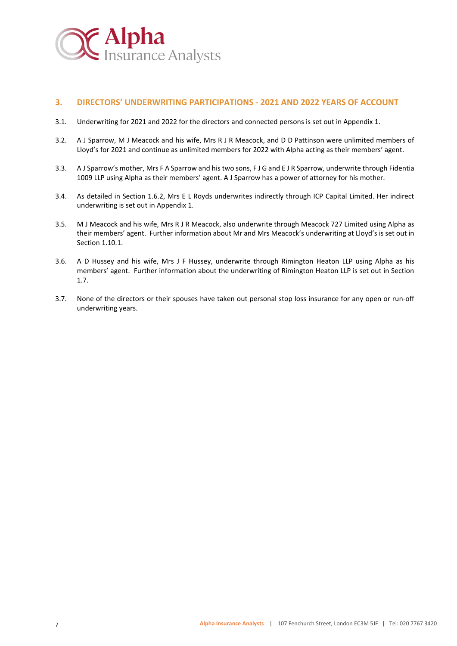

#### **3. DIRECTORS' UNDERWRITING PARTICIPATIONS - 2021 AND 2022 YEARS OF ACCOUNT**

- 3.1. Underwriting for 2021 and 2022 for the directors and connected persons is set out in Appendix 1.
- 3.2. A J Sparrow, M J Meacock and his wife, Mrs R J R Meacock, and D D Pattinson were unlimited members of Lloyd's for 2021 and continue as unlimited members for 2022 with Alpha acting as their members' agent.
- 3.3. A J Sparrow's mother, Mrs F A Sparrow and his two sons, F J G and E J R Sparrow, underwrite through Fidentia 1009 LLP using Alpha as their members' agent. A J Sparrow has a power of attorney for his mother.
- 3.4. As detailed in Section [1.6.2,](#page-4-0) Mrs E L Royds underwrites indirectly through ICP Capital Limited. Her indirect underwriting is set out in Appendix 1.
- 3.5. M J Meacock and his wife, Mrs R J R Meacock, also underwrite through Meacock 727 Limited using Alpha as their members' agent. Further information about Mr and Mrs Meacock's underwriting at Lloyd's is set out in Sectio[n 1.10.1.](#page-4-1)
- 3.6. A D Hussey and his wife, Mrs J F Hussey, underwrite through Rimington Heaton LLP using Alpha as his members' agent. Further information about the underwriting of Rimington Heaton LLP is set out in Section [1.7.](#page-4-2)
- 3.7. None of the directors or their spouses have taken out personal stop loss insurance for any open or run-off underwriting years.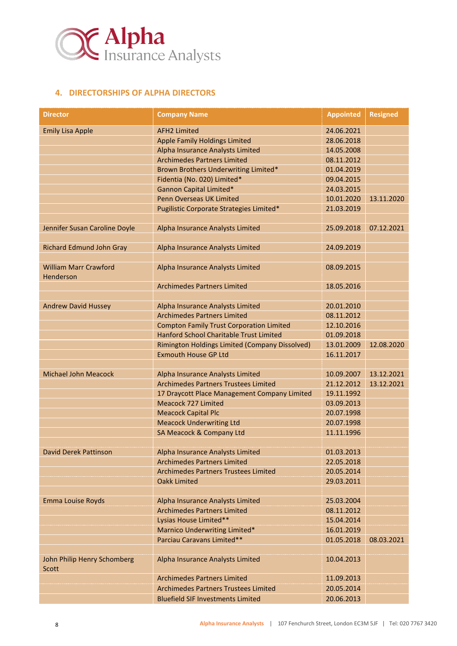

#### **4. DIRECTORSHIPS OF ALPHA DIRECTORS**

| <b>Director</b>                      | <b>Company Name</b>                             | <b>Appointed</b> | <b>Resigned</b> |
|--------------------------------------|-------------------------------------------------|------------------|-----------------|
| <b>Emily Lisa Apple</b>              | <b>AFH2 Limited</b>                             | 24.06.2021       |                 |
|                                      | <b>Apple Family Holdings Limited</b>            | 28.06.2018       |                 |
|                                      | Alpha Insurance Analysts Limited                | 14.05.2008       |                 |
|                                      | <b>Archimedes Partners Limited</b>              | 08.11.2012       |                 |
|                                      | Brown Brothers Underwriting Limited*            | 01.04.2019       |                 |
|                                      | Fidentia (No. 020) Limited*                     | 09.04.2015       |                 |
|                                      | <b>Gannon Capital Limited*</b>                  | 24.03.2015       |                 |
|                                      | Penn Overseas UK Limited                        | 10.01.2020       | 13.11.2020      |
|                                      | Pugilistic Corporate Strategies Limited*        | 21.03.2019       |                 |
|                                      |                                                 |                  |                 |
| Jennifer Susan Caroline Doyle        | Alpha Insurance Analysts Limited                | 25.09.2018       | 07.12.2021      |
| <b>Richard Edmund John Gray</b>      | Alpha Insurance Analysts Limited                | 24.09.2019       |                 |
| <b>William Marr Crawford</b>         |                                                 | 08.09.2015       |                 |
| Henderson                            | Alpha Insurance Analysts Limited                |                  |                 |
|                                      | <b>Archimedes Partners Limited</b>              | 18.05.2016       |                 |
| <b>Andrew David Hussey</b>           | Alpha Insurance Analysts Limited                | 20.01.2010       |                 |
|                                      | <b>Archimedes Partners Limited</b>              | 08.11.2012       |                 |
|                                      | <b>Compton Family Trust Corporation Limited</b> | 12.10.2016       |                 |
|                                      | Hanford School Charitable Trust Limited         | 01.09.2018       |                 |
|                                      | Rimington Holdings Limited (Company Dissolved)  | 13.01.2009       | 12.08.2020      |
|                                      | <b>Exmouth House GP Ltd</b>                     | 16.11.2017       |                 |
|                                      |                                                 |                  |                 |
| <b>Michael John Meacock</b>          | Alpha Insurance Analysts Limited                | 10.09.2007       | 13.12.2021      |
|                                      | <b>Archimedes Partners Trustees Limited</b>     | 21.12.2012       | 13.12.2021      |
|                                      | 17 Draycott Place Management Company Limited    | 19.11.1992       |                 |
|                                      | Meacock 727 Limited                             | 03.09.2013       |                 |
|                                      | <b>Meacock Capital Plc</b>                      | 20.07.1998       |                 |
|                                      | <b>Meacock Underwriting Ltd</b>                 | 20.07.1998       |                 |
|                                      | SA Meacock & Company Ltd                        | 11.11.1996       |                 |
| David Derek Pattinson                | Alpha Insurance Analysts Limited                | 01.03.2013       |                 |
|                                      | <b>Archimedes Partners Limited</b>              | 22.05.2018       |                 |
|                                      | <b>Archimedes Partners Trustees Limited</b>     | 20.05.2014       |                 |
|                                      | <b>Oakk Limited</b>                             | 29.03.2011       |                 |
| Emma Louise Royds                    | Alpha Insurance Analysts Limited                | 25.03.2004       |                 |
|                                      | <b>Archimedes Partners Limited</b>              | 08.11.2012       |                 |
|                                      | Lysias House Limited**                          | 15.04.2014       |                 |
|                                      | Marnico Underwriting Limited*                   | 16.01.2019       |                 |
|                                      | Parciau Caravans Limited**                      | 01.05.2018       | 08.03.2021      |
|                                      |                                                 |                  |                 |
| John Philip Henry Schomberg<br>Scott | Alpha Insurance Analysts Limited                | 10.04.2013       |                 |
|                                      | <b>Archimedes Partners Limited</b>              | 11.09.2013       |                 |
|                                      | <b>Archimedes Partners Trustees Limited</b>     | 20.05.2014       |                 |
|                                      | <b>Bluefield SIF Investments Limited</b>        | 20.06.2013       |                 |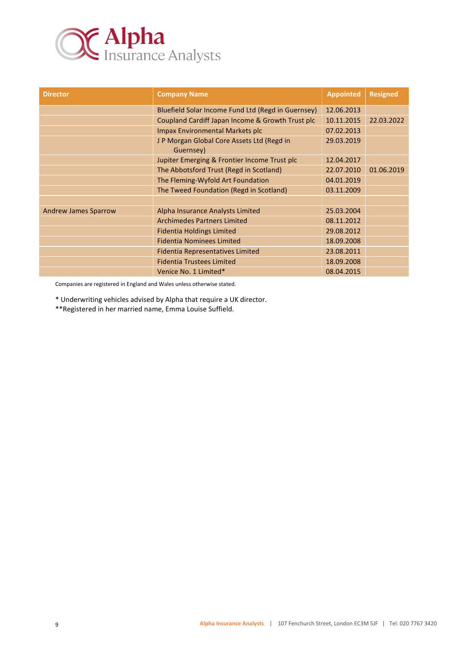

| <b>Director</b>             | <b>Company Name</b>                                    | <b>Appointed</b> | <b>Resigned</b> |
|-----------------------------|--------------------------------------------------------|------------------|-----------------|
|                             | Bluefield Solar Income Fund Ltd (Regd in Guernsey)     | 12.06.2013       |                 |
|                             | Coupland Cardiff Japan Income & Growth Trust plc       | 10.11.2015       | 22.03.2022      |
|                             | <b>Impax Environmental Markets plc</b>                 | 07.02.2013       |                 |
|                             | JP Morgan Global Core Assets Ltd (Regd in<br>Guernsey) | 29.03.2019       |                 |
|                             | Jupiter Emerging & Frontier Income Trust plc           | 12.04.2017       |                 |
|                             | The Abbotsford Trust (Regd in Scotland)                | 22.07.2010       | 01.06.2019      |
|                             | The Fleming-Wyfold Art Foundation                      | 04.01.2019       |                 |
|                             | The Tweed Foundation (Regd in Scotland)                | 03.11.2009       |                 |
|                             |                                                        |                  |                 |
| <b>Andrew James Sparrow</b> | Alpha Insurance Analysts Limited                       | 25.03.2004       |                 |
|                             | <b>Archimedes Partners Limited</b>                     | 08.11.2012       |                 |
|                             | <b>Fidentia Holdings Limited</b>                       | 29.08.2012       |                 |
|                             | <b>Fidentia Nominees Limited</b>                       | 18.09.2008       |                 |
|                             | <b>Fidentia Representatives Limited</b>                | 23.08.2011       |                 |
|                             | <b>Fidentia Trustees Limited</b>                       | 18.09.2008       |                 |
|                             | Venice No. 1 Limited*                                  | 08.04.2015       |                 |

Companies are registered in England and Wales unless otherwise stated.

\* Underwriting vehicles advised by Alpha that require a UK director.

\*\*Registered in her married name, Emma Louise Suffield.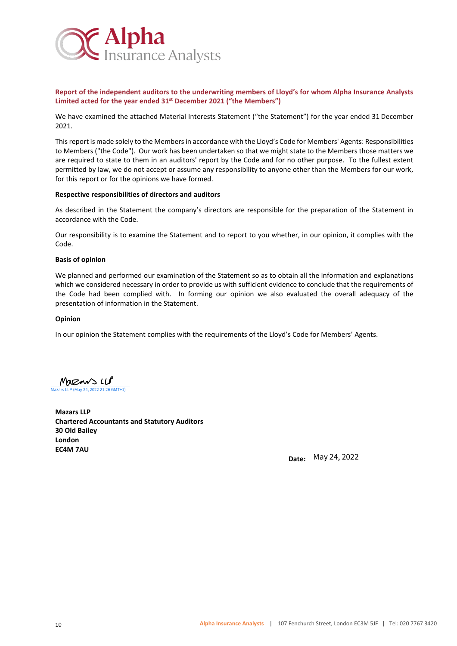

**Report of the independent auditors to the underwriting members of Lloyd's for whom Alpha Insurance Analysts Limited acted for the year ended 31st December 2021 ("the Members")**

We have examined the attached Material Interests Statement ("the Statement") for the year ended 31 December 2021.

This report is made solely to the Members in accordance with the Lloyd's Code for Members' Agents: Responsibilities to Members ("the Code"). Our work has been undertaken so that we might state to the Members those matters we are required to state to them in an auditors' report by the Code and for no other purpose. To the fullest extent permitted by law, we do not accept or assume any responsibility to anyone other than the Members for our work, for this report or for the opinions we have formed.

#### **Respective responsibilities of directors and auditors**

As described in the Statement the company's directors are responsible for the preparation of the Statement in accordance with the Code.

Our responsibility is to examine the Statement and to report to you whether, in our opinion, it complies with the Code.

#### **Basis of opinion**

We planned and performed our examination of the Statement so as to obtain all the information and explanations which we considered necessary in order to provide us with sufficient evidence to conclude that the requirements of the Code had been complied with. In forming our opinion we also evaluated the overall adequacy of the presentation of information in the Statement.

#### **Opinion**

In our opinion the Statement complies with the requirements of the Lloyd's Code for Members' Agents.

Mazans LLP [Mazars LLP \(May 24, 2022 21:26 GMT+1\)](https://mazars.eu1.adobesign.com/verifier?tx=CBJCHBCAABAAKWxbORgUdh3KO2bJw8JDBVFpyhaSaQWM)

**Mazars LLP Chartered Accountants and Statutory Auditors 30 Old Bailey London EC4M 7AU**

 **Date:** May 24, 2022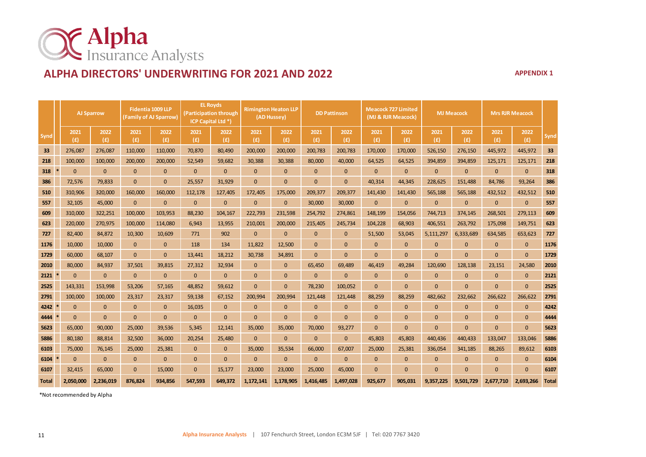

## **ALPHA DIRECTORS' UNDERWRITING FOR 2021 AND 2022 APPENDIX 1**

|              | <b>AJ Sparrow</b> |              |              | Fidentia 1009 LLP<br>(Family of AJ Sparrow) |              | <b>EL Royds</b><br>(Participation through<br>ICP Capital Ltd <sup>*</sup> ) |              | <b>Rimington Heaton LLP</b><br>(AD Hussey) |              | <b>DD Pattinson</b> |              | <b>Meacock 727 Limited</b><br>(MJ & RJR Meacock) |              | <b>MJ</b> Meacock |              | <b>Mrs RJR Meacock</b> |              |              |
|--------------|-------------------|--------------|--------------|---------------------------------------------|--------------|-----------------------------------------------------------------------------|--------------|--------------------------------------------|--------------|---------------------|--------------|--------------------------------------------------|--------------|-------------------|--------------|------------------------|--------------|--------------|
| Synd         |                   | 2021<br>(E)  | 2022<br>(E)  | 2021<br>(E)                                 | 2022<br>(E)  | 2021<br>(E)                                                                 | 2022<br>(f)  | 2021<br>(E)                                | 2022<br>(E)  | 2021<br>(E)         | 2022<br>(E)  | 2021<br>(f)                                      | 2022<br>(E)  | 2021<br>(f)       | 2022<br>(E)  | 2021<br>(E)            | 2022<br>(f)  | Synd         |
| 33           |                   | 276,087      | 276,087      | 110,000                                     | 110,000      | 70,870                                                                      | 80,490       | 200,000                                    | 200,000      | 200,783             | 200,783      | 170,000                                          | 170,000      | 526,150           | 276,150      | 445,972                | 445,972      | 33           |
| 218          |                   | 100,000      | 100,000      | 200,000                                     | 200,000      | 52,549                                                                      | 59,682       | 30,388                                     | 30,388       | 80,000              | 40,000       | 64,525                                           | 64,525       | 394,859           | 394,859      | 125,171                | 125,171      | 218          |
| 318          |                   | $\mathbf{0}$ | $\mathbf{0}$ | $\mathbf{0}$                                | $\mathbf 0$  | $\mathbf{0}$                                                                | $\mathbf{0}$ | $\mathbf{0}$                               | $\mathbf{0}$ | $\mathbf{0}$        | 0            | $\mathbf{0}$                                     | $\mathbf{0}$ | $\mathbf{0}$      | $\mathbf{0}$ | $\mathbf{0}$           | $\mathbf{0}$ | 318          |
| 386          |                   | 72,576       | 79,833       | $\mathbf{0}$                                | $\mathbf{0}$ | 25,557                                                                      | 31,929       | $\mathbf{0}$                               | $\mathbf{0}$ | $\mathbf{0}$        | $\mathbf{0}$ | 40,314                                           | 44,345       | 228,625           | 151,488      | 84,786                 | 93,264       | 386          |
| 510          |                   | 310,906      | 320,000      | 160,000                                     | 160,000      | 112,178                                                                     | 127,405      | 172,405                                    | 175,000      | 209,377             | 209,377      | 141,430                                          | 141,430      | 565,188           | 565,188      | 432,512                | 432,512      | 510          |
| 557          |                   | 32,105       | 45,000       | $\Omega$                                    | $\mathbf{0}$ | $\mathbf{0}$                                                                | $\mathbf{0}$ | $\mathbf{0}$                               | $\mathbf{0}$ | 30,000              | 30,000       | $\mathbf{0}$                                     | $\mathbf{0}$ | $\mathbf{0}$      | $\mathbf{0}$ | $\mathbf{0}$           | $\mathbf{0}$ | 557          |
| 609          |                   | 310,000      | 322,251      | 100,000                                     | 103,953      | 88,230                                                                      | 104,167      | 222,793                                    | 231,598      | 254,792             | 274,861      | 148,199                                          | 154,056      | 744,713           | 374,145      | 268,501                | 279,113      | 609          |
| 623          |                   | 220,000      | 270,975      | 100,000                                     | 114,080      | 6,943                                                                       | 13,955       | 210,001                                    | 200,000      | 215,405             | 245,734      | 104,228                                          | 68,903       | 406,551           | 263,792      | 175,098                | 149,751      | 623          |
| 727          |                   | 82,400       | 84,872       | 10,300                                      | 10,609       | 771                                                                         | 902          | $\mathbf{0}$                               | $\mathbf{0}$ | $\mathbf{0}$        | $\mathbf 0$  | 51,500                                           | 53,045       | 5,111,297         | 6,333,689    | 634,585                | 653,623      | 727          |
| 1176         |                   | 10.000       | 10,000       | $\Omega$                                    | $\mathbf{0}$ | 118                                                                         | 134          | 11,822                                     | 12,500       | $\Omega$            | $\mathbf{0}$ | $\mathbf{0}$                                     | $\mathbf{0}$ | $\mathbf{0}$      | $\mathbf{0}$ | $\mathbf{0}$           | $\mathbf{0}$ | 1176         |
| 1729         |                   | 60,000       | 68,107       | $\Omega$                                    | $\mathbf{0}$ | 13,441                                                                      | 18,212       | 30,738                                     | 34,891       | $\mathbf{0}$        | $\mathbf{0}$ | $\mathbf{0}$                                     | $\mathbf{0}$ | $\mathbf{0}$      | $\mathbf{0}$ | $\Omega$               | $\mathbf{0}$ | 1729         |
| 2010         |                   | 80,000       | 84,937       | 37,501                                      | 39,815       | 27,312                                                                      | 32,934       | $\mathbf{0}$                               | $\mathbf{0}$ | 65,450              | 69,489       | 46,419                                           | 49,284       | 120,690           | 128,138      | 23,151                 | 24,580       | 2010         |
| 2121         |                   | $\mathbf{0}$ | $\mathbf{0}$ | $\mathbf{0}$                                | $\mathbf 0$  | $\mathbf{0}$                                                                | $\mathbf{0}$ | $\mathbf{0}$                               | $\mathbf{0}$ | $\mathbf{0}$        | $\mathbf 0$  | $\mathbf{0}$                                     | $\mathbf{0}$ | $\mathbf{0}$      | $\mathbf{0}$ | $\mathbf{0}$           | $\mathbf{0}$ | 2121         |
| 2525         |                   | 143,331      | 153,998      | 53,206                                      | 57,165       | 48,852                                                                      | 59,612       | $\mathbf{0}$                               | $\mathbf{0}$ | 78,230              | 100,052      | $\mathbf{0}$                                     | $\mathbf{0}$ | $\mathbf{0}$      | $\Omega$     | $\Omega$               | $\mathbf{0}$ | 2525         |
| 2791         |                   | 100,000      | 100,000      | 23,317                                      | 23,317       | 59,138                                                                      | 67,152       | 200,994                                    | 200,994      | 121,448             | 121,448      | 88,259                                           | 88,259       | 482,662           | 232,662      | 266,622                | 266,622      | 2791         |
| 4242         |                   | $\mathbf{0}$ | $\mathbf{0}$ | $\Omega$                                    | $\mathbf{0}$ | 16,035                                                                      | $\Omega$     | $\mathbf{0}$                               | $\mathbf{0}$ | $\mathbf{0}$        | $\mathbf 0$  | $\mathbf{0}$                                     | $\mathbf{0}$ | $\mathbf{0}$      | $\mathbf{0}$ | $\mathbf{0}$           | $\mathbf{0}$ | 4242         |
| 4444         |                   | $\Omega$     | $\mathbf{0}$ | $\Omega$                                    | $\mathbf{0}$ | $\mathbf{0}$                                                                | $\mathbf{0}$ | $\mathbf{0}$                               | $\mathbf{0}$ | $\Omega$            | $\mathbf{0}$ | $\mathbf{0}$                                     | $\mathbf{0}$ | $\mathbf{0}$      | $\mathbf{0}$ | $\Omega$               | $\mathbf{0}$ | 4444         |
| 5623         |                   | 65.000       | 90,000       | 25,000                                      | 39,536       | 5,345                                                                       | 12,141       | 35,000                                     | 35,000       | 70,000              | 93,277       | $\mathbf{0}$                                     | $\mathbf{0}$ | $\Omega$          | $\Omega$     | $\Omega$               | $\Omega$     | 5623         |
| 5886         |                   | 80,180       | 88,814       | 32,500                                      | 36,000       | 20,254                                                                      | 25,480       | $\mathbf{0}$                               | $\mathbf 0$  | $\mathbf{0}$        | $\mathbf 0$  | 45,803                                           | 45,803       | 440,436           | 440,433      | 133,047                | 133,046      | 5886         |
| 6103         |                   | 75,000       | 76,145       | 25,000                                      | 25,381       | $\mathbf{0}$                                                                | $\mathbf{0}$ | 35,000                                     | 35,534       | 66,000              | 67,007       | 25,000                                           | 25,381       | 336,054           | 341,185      | 88,265                 | 89,612       | 6103         |
| 6104         |                   | $\Omega$     | $\mathbf{0}$ | $\mathbf{0}$                                | $\mathbf{0}$ | $\mathbf{0}$                                                                | $\mathbf{0}$ | $\mathbf{0}$                               | $\mathbf{0}$ | $\mathbf{0}$        | $\mathbf 0$  | $\mathbf{0}$                                     | $\mathbf{0}$ | $\mathbf{0}$      | $\mathbf{0}$ | $\mathbf{0}$           | $\mathbf{0}$ | 6104         |
| 6107         |                   | 32,415       | 65,000       | $\Omega$                                    | 15,000       | $\mathbf{0}$                                                                | 15,177       | 23,000                                     | 23,000       | 25,000              | 45,000       | $\mathbf{0}$                                     | $\Omega$     | $\Omega$          | $\Omega$     | $\Omega$               | $\mathbf{0}$ | 6107         |
| <b>Total</b> |                   | 2,050,000    | 2,236,019    | 876,824                                     | 934,856      | 547,593                                                                     | 649,372      | 1,172,141                                  | 1,178,905    | 1,416,485           | 1,497,028    | 925,677                                          | 905,031      | 9,357,225         | 9,501,729    | 2,677,710              | 2,693,266    | <b>Total</b> |

\*Not recommended by Alpha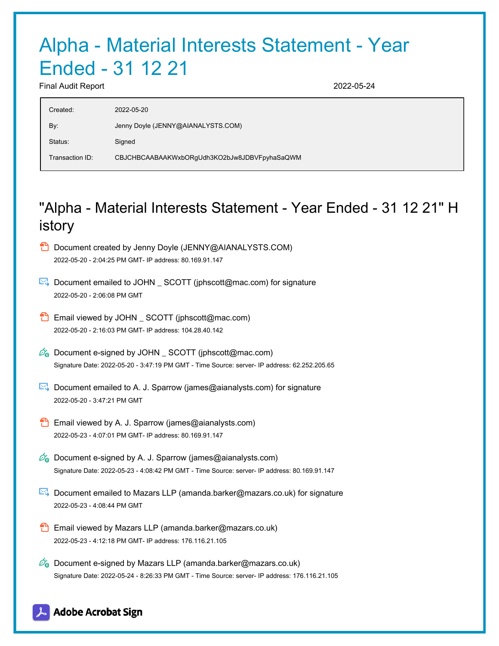## Alpha - Material Interests Statement - Year Ended - 31 12 21

Final Audit Report 2022-05-24

| 2022-05-20                                   |
|----------------------------------------------|
| Jenny Doyle (JENNY@AIANALYSTS.COM)           |
| Signed                                       |
| CBJCHBCAABAAKWxbORgUdh3KO2bJw8JDBVFpyhaSaQWM |
|                                              |

## "Alpha - Material Interests Statement - Year Ended - 31 12 21" H istory

| Document created by Jenny Doyle (JENNY@AIANALYSTS.COM) |
|--------------------------------------------------------|
| 2022-05-20 - 2:04:25 PM GMT- IP address: 80.169.91.147 |

- Document emailed to JOHN \_ SCOTT (jphscott@mac.com) for signature 2022-05-20 - 2:06:08 PM GMT
- **Email viewed by JOHN** SCOTT (jphscott@mac.com) 2022-05-20 - 2:16:03 PM GMT- IP address: 104.28.40.142
- $\phi_{\bullet}$  Document e-signed by JOHN SCOTT (jphscott@mac.com) Signature Date: 2022-05-20 - 3:47:19 PM GMT - Time Source: server- IP address: 62.252.205.65
- Document emailed to A. J. Sparrow (james@aianalysts.com) for signature 2022-05-20 - 3:47:21 PM GMT
- **Email viewed by A. J. Sparrow (james@aianalysts.com)** 2022-05-23 - 4:07:01 PM GMT- IP address: 80.169.91.147
- $\mathscr{A}_{\mathbf{G}}$  Document e-signed by A. J. Sparrow (james@aianalysts.com) Signature Date: 2022-05-23 - 4:08:42 PM GMT - Time Source: server- IP address: 80.169.91.147
- Document emailed to Mazars LLP (amanda.barker@mazars.co.uk) for signature 2022-05-23 - 4:08:44 PM GMT
- **Email viewed by Mazars LLP (amanda.barker@mazars.co.uk)** 2022-05-23 - 4:12:18 PM GMT- IP address: 176.116.21.105
- $\mathbb{Z}_{\bullet}$  Document e-signed by Mazars LLP (amanda.barker@mazars.co.uk) Signature Date: 2022-05-24 - 8:26:33 PM GMT - Time Source: server- IP address: 176.116.21.105

### **Adobe Acrobat Sign**